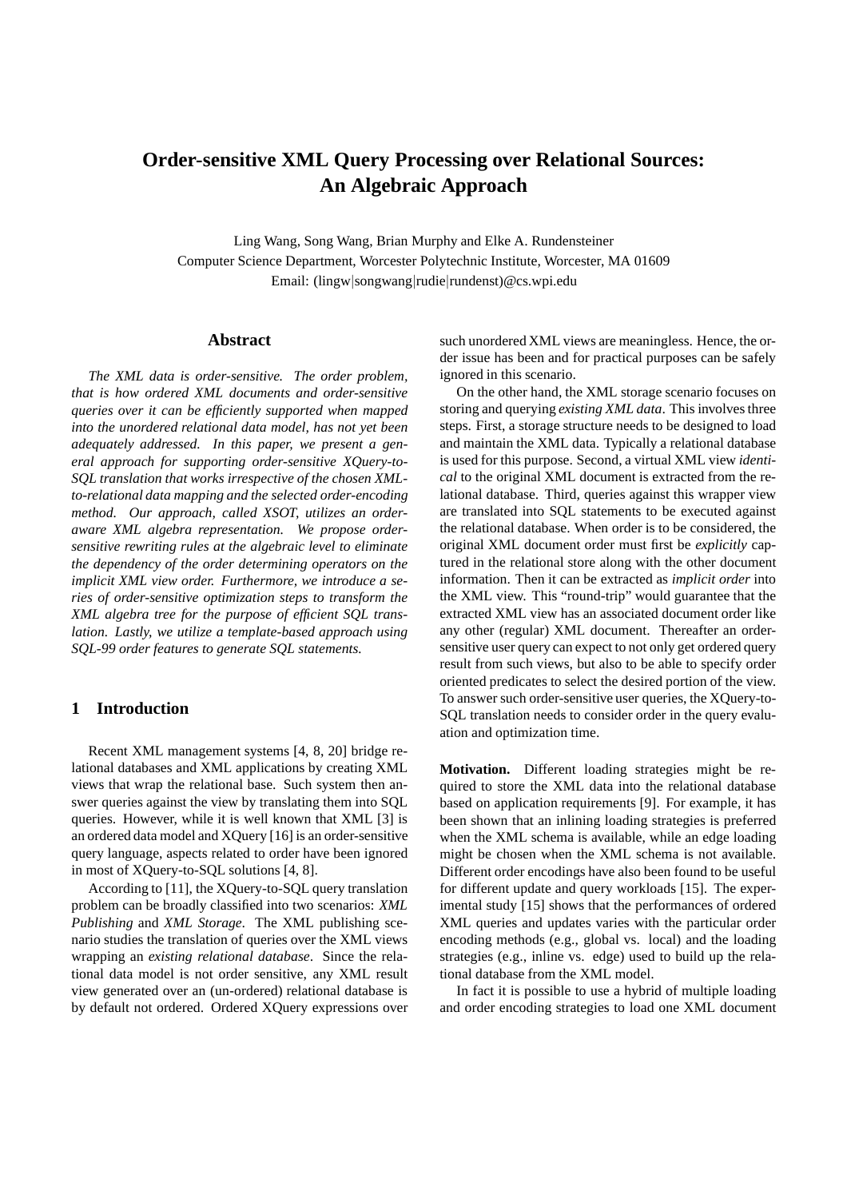# **Order-sensitive XML Query Processing over Relational Sources: An Algebraic Approach**

Ling Wang, Song Wang, Brian Murphy and Elke A. Rundensteiner Computer Science Department, Worcester Polytechnic Institute, Worcester, MA 01609 Email: (lingw|songwang|rudie|rundenst)@cs.wpi.edu

### **Abstract**

*The XML data is order-sensitive. The order problem, that is how ordered XML documents and order-sensitive queries over it can be efficiently supported when mapped into the unordered relational data model, has not yet been adequately addressed. In this paper, we present a general approach for supporting order-sensitive XQuery-to-SQL translation that works irrespective of the chosen XMLto-relational data mapping and the selected order-encoding method. Our approach, called XSOT, utilizes an orderaware XML algebra representation. We propose ordersensitive rewriting rules at the algebraic level to eliminate the dependency of the order determining operators on the implicit XML view order. Furthermore, we introduce a series of order-sensitive optimization steps to transform the XML algebra tree for the purpose of efficient SQL translation. Lastly, we utilize a template-based approach using SQL-99 order features to generate SQL statements.*

### **1 Introduction**

Recent XML management systems [4, 8, 20] bridge relational databases and XML applications by creating XML views that wrap the relational base. Such system then answer queries against the view by translating them into SQL queries. However, while it is well known that XML [3] is an ordered data model and XQuery [16] is an order-sensitive query language, aspects related to order have been ignored in most of XQuery-to-SQL solutions [4, 8].

According to [11], the XQuery-to-SQL query translation problem can be broadly classified into two scenarios: *XML Publishing* and *XML Storage*. The XML publishing scenario studies the translation of queries over the XML views wrapping an *existing relational database*. Since the relational data model is not order sensitive, any XML result view generated over an (un-ordered) relational database is by default not ordered. Ordered XQuery expressions over such unordered XML views are meaningless. Hence, the order issue has been and for practical purposes can be safely ignored in this scenario.

On the other hand, the XML storage scenario focuses on storing and querying *existing XML data*. This involves three steps. First, a storage structure needs to be designed to load and maintain the XML data. Typically a relational database is used for this purpose. Second, a virtual XML view *identical* to the original XML document is extracted from the relational database. Third, queries against this wrapper view are translated into SQL statements to be executed against the relational database. When order is to be considered, the original XML document order must first be *explicitly* captured in the relational store along with the other document information. Then it can be extracted as *implicit order* into the XML view. This "round-trip" would guarantee that the extracted XML view has an associated document order like any other (regular) XML document. Thereafter an ordersensitive user query can expect to not only get ordered query result from such views, but also to be able to specify order oriented predicates to select the desired portion of the view. To answer such order-sensitive user queries, the XQuery-to-SQL translation needs to consider order in the query evaluation and optimization time.

**Motivation.** Different loading strategies might be required to store the XML data into the relational database based on application requirements [9]. For example, it has been shown that an inlining loading strategies is preferred when the XML schema is available, while an edge loading might be chosen when the XML schema is not available. Different order encodings have also been found to be useful for different update and query workloads [15]. The experimental study [15] shows that the performances of ordered XML queries and updates varies with the particular order encoding methods (e.g., global vs. local) and the loading strategies (e.g., inline vs. edge) used to build up the relational database from the XML model.

In fact it is possible to use a hybrid of multiple loading and order encoding strategies to load one XML document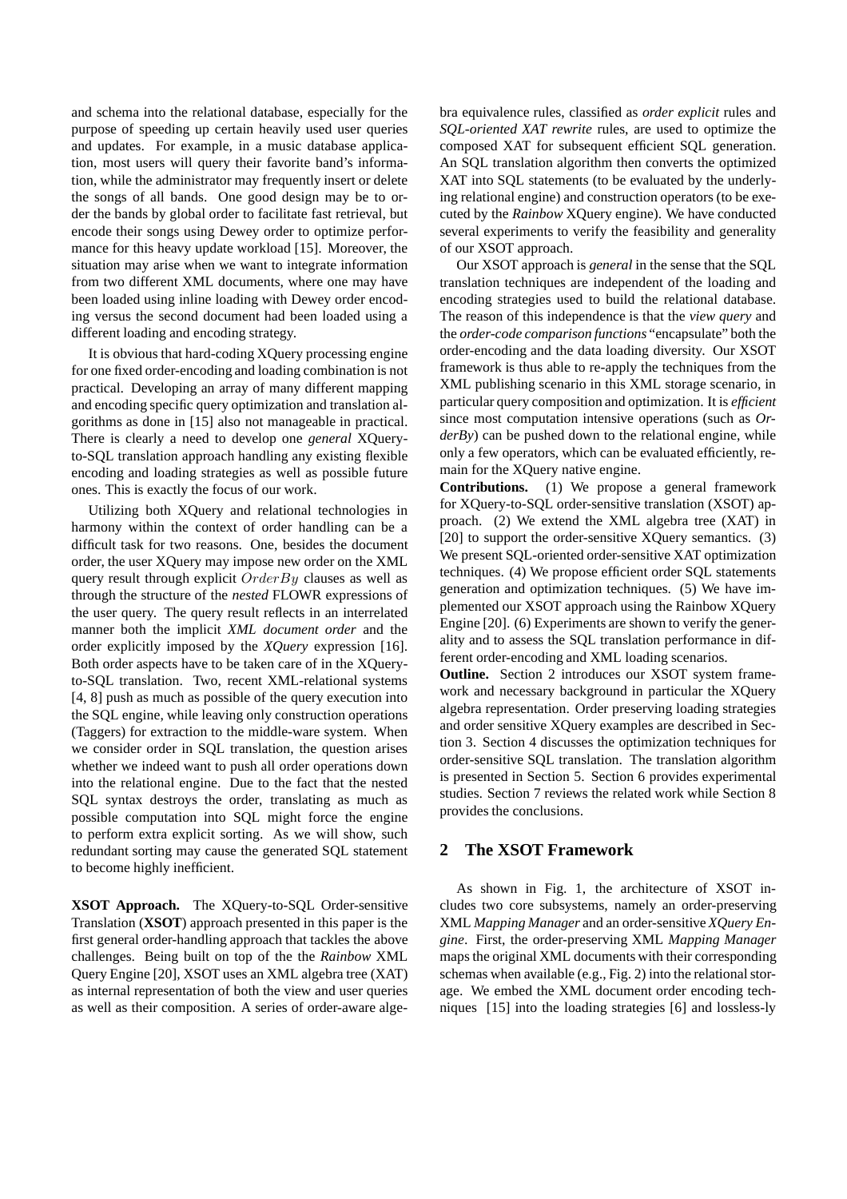and schema into the relational database, especially for the purpose of speeding up certain heavily used user queries and updates. For example, in a music database application, most users will query their favorite band's information, while the administrator may frequently insert or delete the songs of all bands. One good design may be to order the bands by global order to facilitate fast retrieval, but encode their songs using Dewey order to optimize performance for this heavy update workload [15]. Moreover, the situation may arise when we want to integrate information from two different XML documents, where one may have been loaded using inline loading with Dewey order encoding versus the second document had been loaded using a different loading and encoding strategy.

It is obvious that hard-coding XQuery processing engine for one fixed order-encoding and loading combination is not practical. Developing an array of many different mapping and encoding specific query optimization and translation algorithms as done in [15] also not manageable in practical. There is clearly a need to develop one *general* XQueryto-SQL translation approach handling any existing flexible encoding and loading strategies as well as possible future ones. This is exactly the focus of our work.

Utilizing both XQuery and relational technologies in harmony within the context of order handling can be a difficult task for two reasons. One, besides the document order, the user XQuery may impose new order on the XML query result through explicit  $OrderBy$  clauses as well as through the structure of the *nested* FLOWR expressions of the user query. The query result reflects in an interrelated manner both the implicit *XML document order* and the order explicitly imposed by the *XQuery* expression [16]. Both order aspects have to be taken care of in the XQueryto-SQL translation. Two, recent XML-relational systems [4, 8] push as much as possible of the query execution into the SQL engine, while leaving only construction operations (Taggers) for extraction to the middle-ware system. When we consider order in SQL translation, the question arises whether we indeed want to push all order operations down into the relational engine. Due to the fact that the nested SQL syntax destroys the order, translating as much as possible computation into SQL might force the engine to perform extra explicit sorting. As we will show, such redundant sorting may cause the generated SQL statement to become highly inefficient.

**XSOT Approach.** The XQuery-to-SQL Order-sensitive Translation (**XSOT**) approach presented in this paper is the first general order-handling approach that tackles the above challenges. Being built on top of the the *Rainbow* XML Query Engine [20], XSOT uses an XML algebra tree (XAT) as internal representation of both the view and user queries as well as their composition. A series of order-aware algebra equivalence rules, classified as *order explicit* rules and *SQL-oriented XAT rewrite* rules, are used to optimize the composed XAT for subsequent efficient SQL generation. An SQL translation algorithm then converts the optimized XAT into SQL statements (to be evaluated by the underlying relational engine) and construction operators (to be executed by the *Rainbow* XQuery engine). We have conducted several experiments to verify the feasibility and generality of our XSOT approach.

Our XSOT approach is *general* in the sense that the SQL translation techniques are independent of the loading and encoding strategies used to build the relational database. The reason of this independence is that the *view query* and the *order-code comparison functions* "encapsulate" both the order-encoding and the data loading diversity. Our XSOT framework is thus able to re-apply the techniques from the XML publishing scenario in this XML storage scenario, in particular query composition and optimization. It is *efficient* since most computation intensive operations (such as *OrderBy*) can be pushed down to the relational engine, while only a few operators, which can be evaluated efficiently, remain for the XQuery native engine.

**Contributions.** (1) We propose a general framework for XQuery-to-SQL order-sensitive translation (XSOT) approach. (2) We extend the XML algebra tree (XAT) in [20] to support the order-sensitive XQuery semantics. (3) We present SOL-oriented order-sensitive XAT optimization techniques. (4) We propose efficient order SQL statements generation and optimization techniques. (5) We have implemented our XSOT approach using the Rainbow XQuery Engine [20]. (6) Experiments are shown to verify the generality and to assess the SQL translation performance in different order-encoding and XML loading scenarios.

**Outline.** Section 2 introduces our XSOT system framework and necessary background in particular the XQuery algebra representation. Order preserving loading strategies and order sensitive XQuery examples are described in Section 3. Section 4 discusses the optimization techniques for order-sensitive SQL translation. The translation algorithm is presented in Section 5. Section 6 provides experimental studies. Section 7 reviews the related work while Section 8 provides the conclusions.

### **2 The XSOT Framework**

As shown in Fig. 1, the architecture of XSOT includes two core subsystems, namely an order-preserving XML *Mapping Manager* and an order-sensitive *XQuery Engine*. First, the order-preserving XML *Mapping Manager* maps the original XML documents with their corresponding schemas when available (e.g., Fig. 2) into the relational storage. We embed the XML document order encoding techniques [15] into the loading strategies [6] and lossless-ly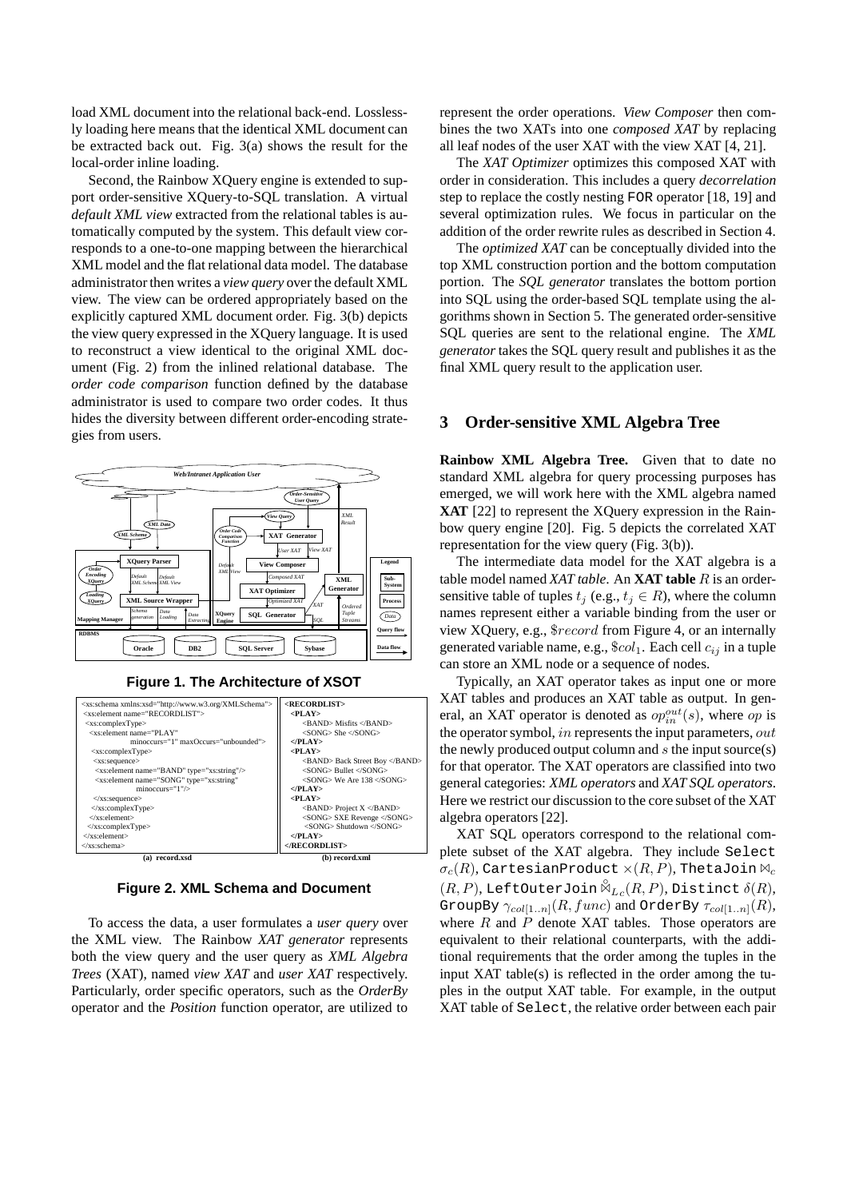load XML document into the relational back-end. Losslessly loading here means that the identical XML document can be extracted back out. Fig. 3(a) shows the result for the local-order inline loading.

Second, the Rainbow XQuery engine is extended to support order-sensitive XQuery-to-SQL translation. A virtual *default XML view* extracted from the relational tables is automatically computed by the system. This default view corresponds to a one-to-one mapping between the hierarchical XML model and the flat relational data model. The database administrator then writes a *view query* over the default XML view. The view can be ordered appropriately based on the explicitly captured XML document order. Fig. 3(b) depicts the view query expressed in the XQuery language. It is used to reconstruct a view identical to the original XML document (Fig. 2) from the inlined relational database. The *order code comparison* function defined by the database administrator is used to compare two order codes. It thus hides the diversity between different order-encoding strategies from users.



**Figure 1. The Architecture of XSOT**



**Figure 2. XML Schema and Document**

To access the data, a user formulates a *user query* over the XML view. The Rainbow *XAT generator* represents both the view query and the user query as *XML Algebra Trees* (XAT), named *view XAT* and *user XAT* respectively. Particularly, order specific operators, such as the *OrderBy* operator and the *Position* function operator, are utilized to represent the order operations. *View Composer* then combines the two XATs into one *composed XAT* by replacing all leaf nodes of the user XAT with the view XAT [4, 21].

The *XAT Optimizer* optimizes this composed XAT with order in consideration. This includes a query *decorrelation* step to replace the costly nesting FOR operator [18, 19] and several optimization rules. We focus in particular on the addition of the order rewrite rules as described in Section 4.

The *optimized XAT* can be conceptually divided into the top XML construction portion and the bottom computation portion. The *SQL generator* translates the bottom portion into SQL using the order-based SQL template using the algorithms shown in Section 5. The generated order-sensitive SQL queries are sent to the relational engine. The *XML generator* takes the SQL query result and publishes it as the final XML query result to the application user.

#### **3 Order-sensitive XML Algebra Tree**

**Rainbow XML Algebra Tree.** Given that to date no standard XML algebra for query processing purposes has emerged, we will work here with the XML algebra named **XAT** [22] to represent the XQuery expression in the Rainbow query engine [20]. Fig. 5 depicts the correlated XAT representation for the view query (Fig. 3(b)).

The intermediate data model for the XAT algebra is a table model named *XAT table*. An **XAT table** R is an ordersensitive table of tuples  $t_j$  (e.g.,  $t_j \in R$ ), where the column names represent either a variable binding from the user or view XQuery, e.g., \$record from Figure 4, or an internally generated variable name, e.g.,  $\&col_1$ . Each cell  $c_{ij}$  in a tuple can store an XML node or a sequence of nodes.

Typically, an XAT operator takes as input one or more XAT tables and produces an XAT table as output. In general, an XAT operator is denoted as  $op_{in}^{out}(s)$ , where op is the operator symbol, in represents the input parameters,  $out$ the newly produced output column and  $s$  the input source $(s)$ for that operator. The XAT operators are classified into two general categories: *XML operators* and *XAT SQL operators*. Here we restrict our discussion to the core subset of the XAT algebra operators [22].

XAT SQL operators correspond to the relational complete subset of the XAT algebra. They include Select  $\sigma_c(R)$ , CartesianProduct  $\times (R, P)$ , ThetaJoin  $\mathbb{M}_c$  $(R, P)$ , LeftOuterJoin  $\overset{\circ}{\bowtie}_{L_{\mathcal{C}}}(R, P)$ , Distinct  $\delta(R)$ , GroupBy  $\gamma_{col[1..n]}(R, func)$  and OrderBy  $\tau_{col[1..n]}(R)$ , where  $R$  and  $P$  denote XAT tables. Those operators are equivalent to their relational counterparts, with the additional requirements that the order among the tuples in the input XAT table(s) is reflected in the order among the tuples in the output XAT table. For example, in the output XAT table of Select, the relative order between each pair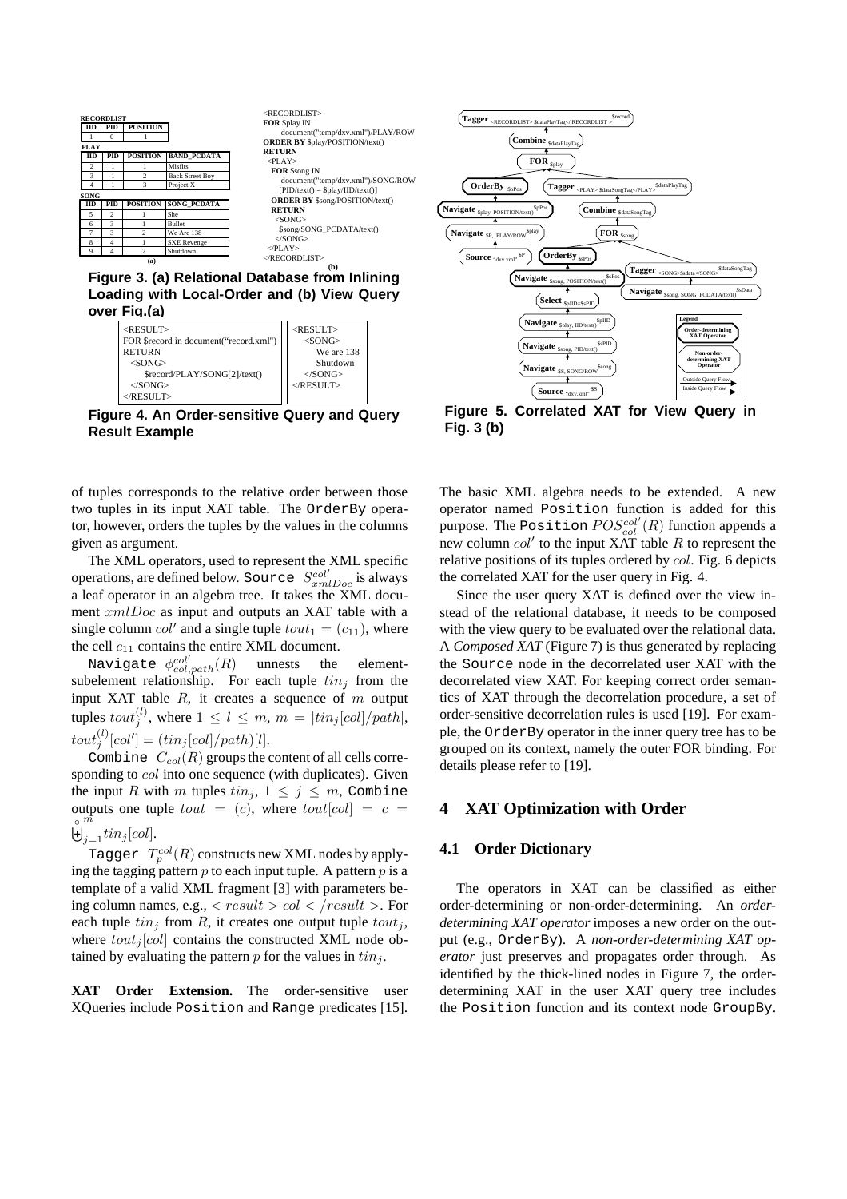

**Figure 3. (a) Relational Database from Inlining Loading with Local-Order and (b) View Query over Fig.(a)**

| $<$ RESULT>                            | $<$ RESULT>     |
|----------------------------------------|-----------------|
| FOR \$record in document("record.xml") | $<$ SONG $>$    |
| <b>RETURN</b>                          | We are 138      |
| $<$ SONG $>$                           | Shutdown        |
| \$record/PLAY/SONG[2]/text()           | $\langle$ SONG> |
| $<$ SONG>                              | $<$ /RESULT>    |
| $\langle$ RESULT>                      |                 |

**Figure 4. An Order-sensitive Query and Query Result Example**

of tuples corresponds to the relative order between those two tuples in its input XAT table. The OrderBy operator, however, orders the tuples by the values in the columns given as argument.

The XML operators, used to represent the XML specific operations, are defined below. Source  $S_{xmlDoc}^{col'}$  is always a leaf operator in an algebra tree. It takes the XML document xmlDoc as input and outputs an XAT table with a single column *col'* and a single tuple  $tout_1 = (c_{11})$ , where the cell  $c_{11}$  contains the entire XML document.

Navigate  $\phi^{col'}_{col,path}(R)$  unnests the elementsubelement relationship. For each tuple  $tin<sub>i</sub>$  from the input XAT table  $R$ , it creates a sequence of  $m$  output tuples  $\text{tout}_{j}^{(l)}$ , where  $1 \leq l \leq m$ ,  $m = |\text{tin}_{j}[\text{col}]/\text{path}|$ ,  $tout_j^{(l)}[col'] = (tin_j[col]/path)[l].$ 

Combine  $C_{col}(R)$  groups the content of all cells corresponding to *col* into one sequence (with duplicates). Given the input R with m tuples  $\lim_{j \to \infty} 1 \leq j \leq m$ , Combine outputs one tuple  $tout = (c)$ , where  $tout[col] = c =$  $\overset{\circ}{\biguplus}_{j=1}^{\vec{m}}tin_j[col].$ 

Tagger  $\; T^{col}_{p}(R)$  constructs new XML nodes by applying the tagging pattern  $p$  to each input tuple. A pattern  $p$  is a template of a valid XML fragment [3] with parameters being column names, e.g.,  $\langle result > col \langle result > .$  For each tuple  $tin_j$  from R, it creates one output tuple  $tout_j$ , where  $tout_i[col]$  contains the constructed XML node obtained by evaluating the pattern  $p$  for the values in  $tin_j$ .

**XAT Order Extension.** The order-sensitive user XQueries include Position and Range predicates [15].



**Fig. 3 (b)**

The basic XML algebra needs to be extended. A new operator named Position function is added for this purpose. The Position  $POS_{col}^{col'}(R)$  function appends a new column  $col'$  to the input XAT table  $R$  to represent the relative positions of its tuples ordered by col. Fig. 6 depicts the correlated XAT for the user query in Fig. 4.

Since the user query XAT is defined over the view instead of the relational database, it needs to be composed with the view query to be evaluated over the relational data. A *Composed XAT* (Figure 7) is thus generated by replacing the Source node in the decorrelated user XAT with the decorrelated view XAT. For keeping correct order semantics of XAT through the decorrelation procedure, a set of order-sensitive decorrelation rules is used [19]. For example, the OrderBy operator in the inner query tree has to be grouped on its context, namely the outer FOR binding. For details please refer to [19].

### **4 XAT Optimization with Order**

### **4.1 Order Dictionary**

The operators in XAT can be classified as either order-determining or non-order-determining. An *orderdetermining XAT operator* imposes a new order on the output (e.g., OrderBy). A *non-order-determining XAT operator* just preserves and propagates order through. As identified by the thick-lined nodes in Figure 7, the orderdetermining XAT in the user XAT query tree includes the Position function and its context node GroupBy.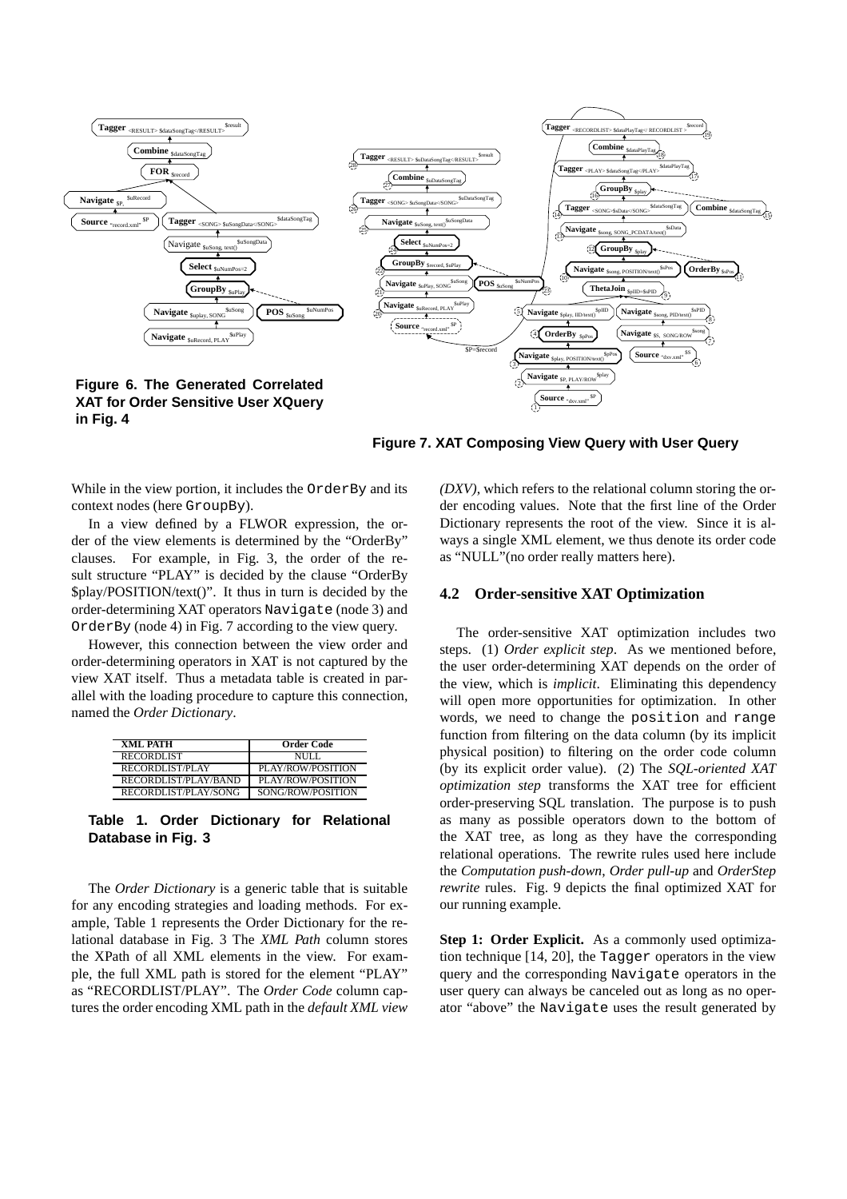

**in Fig. 4**

**Figure 7. XAT Composing View Query with User Query**

While in the view portion, it includes the OrderBy and its context nodes (here GroupBy).

In a view defined by a FLWOR expression, the order of the view elements is determined by the "OrderBy" clauses. For example, in Fig. 3, the order of the result structure "PLAY" is decided by the clause "OrderBy \$play/POSITION/text()". It thus in turn is decided by the order-determining XAT operators Navigate (node 3) and OrderBy (node 4) in Fig. 7 according to the view query.

However, this connection between the view order and order-determining operators in XAT is not captured by the view XAT itself. Thus a metadata table is created in parallel with the loading procedure to capture this connection, named the *Order Dictionary*.

| XML PATH             | <b>Order Code</b> |
|----------------------|-------------------|
| <b>RECORDLIST</b>    | NH L              |
| RECORDLIST/PLAY      | PLAY/ROW/POSITION |
| RECORDLIST/PLAY/BAND | PLAY/ROW/POSITION |
| RECORDLIST/PLAY/SONG | SONG/ROW/POSITION |

**Table 1. Order Dictionary for Relational Database in Fig. 3**

The *Order Dictionary* is a generic table that is suitable for any encoding strategies and loading methods. For example, Table 1 represents the Order Dictionary for the relational database in Fig. 3 The *XML Path* column stores the XPath of all XML elements in the view. For example, the full XML path is stored for the element "PLAY" as "RECORDLIST/PLAY". The *Order Code* column captures the order encoding XML path in the *default XML view* *(DXV)*, which refers to the relational column storing the order encoding values. Note that the first line of the Order Dictionary represents the root of the view. Since it is always a single XML element, we thus denote its order code as "NULL"(no order really matters here).

#### **4.2 Order-sensitive XAT Optimization**

The order-sensitive XAT optimization includes two steps. (1) *Order explicit step*. As we mentioned before, the user order-determining XAT depends on the order of the view, which is *implicit*. Eliminating this dependency will open more opportunities for optimization. In other words, we need to change the position and range function from filtering on the data column (by its implicit physical position) to filtering on the order code column (by its explicit order value). (2) The *SQL-oriented XAT optimization step* transforms the XAT tree for efficient order-preserving SQL translation. The purpose is to push as many as possible operators down to the bottom of the XAT tree, as long as they have the corresponding relational operations. The rewrite rules used here include the *Computation push-down*, *Order pull-up* and *OrderStep rewrite* rules. Fig. 9 depicts the final optimized XAT for our running example.

Step 1: Order Explicit. As a commonly used optimization technique [14, 20], the Tagger operators in the view query and the corresponding Navigate operators in the user query can always be canceled out as long as no operator "above" the Navigate uses the result generated by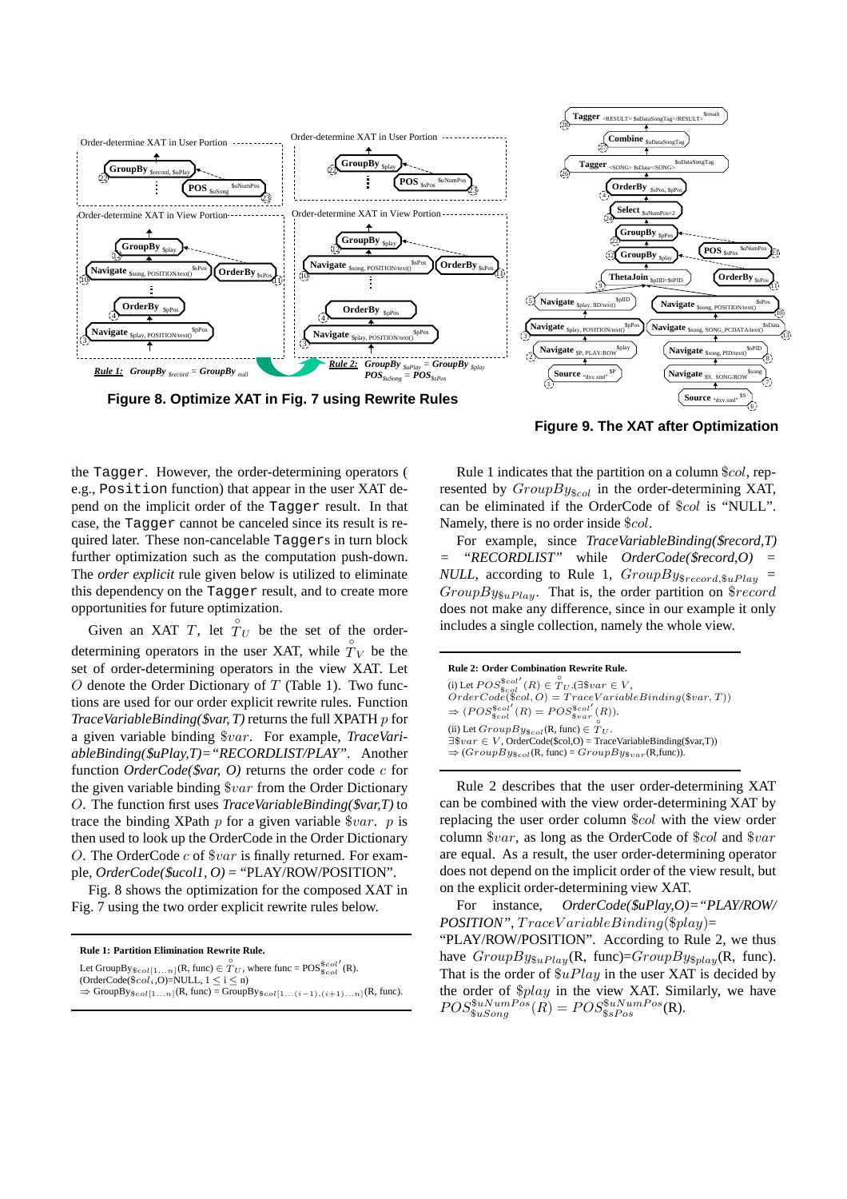

**Figure 8. Optimize XAT in Fig. 7 using Rewrite Rules**



**Figure 9. The XAT after Optimization**

the Tagger. However, the order-determining operators ( e.g., Position function) that appear in the user XAT depend on the implicit order of the Tagger result. In that case, the Tagger cannot be canceled since its result is required later. These non-cancelable Taggers in turn block further optimization such as the computation push-down. The *order explicit* rule given below is utilized to eliminate this dependency on the Tagger result, and to create more opportunities for future optimization.

Given an XAT T, let  $\hat{T}_U$  be the set of the orderdetermining operators in the user XAT, while  $\hat{\mathcal{T}}_V$  be the set of order-determining operators in the view XAT. Let  $O$  denote the Order Dictionary of  $T$  (Table 1). Two functions are used for our order explicit rewrite rules. Function *TraceVariableBinding(*\$*var, T)* returns the full XPATH p for a given variable binding \$var. For example, *TraceVariableBinding(*\$*uPlay,T)="RECORDLIST/PLAY"*. Another function *OrderCode(*\$*var, O)* returns the order code c for the given variable binding  $\$var$  from the Order Dictionary O. The function first uses *TraceVariableBinding(*\$*var,T)* to trace the binding XPath  $p$  for a given variable  $\$var$ .  $p$  is then used to look up the OrderCode in the Order Dictionary O. The OrderCode  $c$  of  $\$var$  is finally returned. For example, *OrderCode(*\$*ucol1, O)* = "PLAY/ROW/POSITION".

Fig. 8 shows the optimization for the composed XAT in Fig. 7 using the two order explicit rewrite rules below.

| <b>Rule 1: Partition Elimination Rewrite Rule.</b>                                                                                                                      |  |
|-------------------------------------------------------------------------------------------------------------------------------------------------------------------------|--|
| Let GroupBy <sub>\$col</sub> [1n](R, func) $\in T_U$ , where func = POS <sup>\$col</sup> <sup>'</sup> (R).<br>(OrderCode( $\text{\$col}_i$ , O)=NULL, $1 \le i \le n$ ) |  |
| $\Rightarrow$ GroupBy <sub>\$col[1n]</sub> (R, func) = GroupBy <sub>\$col[1(i-1),(i+1)n]</sub> (R, func).                                                               |  |

Rule 1 indicates that the partition on a column \$col, represented by  $GroupBy_{\$col}$  in the order-determining XAT, can be eliminated if the OrderCode of \$col is "NULL". Namely, there is no order inside \$*col*.

For example, since *TraceVariableBinding(*\$*record,T) = "RECORDLIST"* while *OrderCode(*\$*record,O) = NULL*, according to Rule 1,  $GroupBy_{\$record, \$uPlay}$  =  $GroupBy_{\$uPlay}$ . That is, the order partition on  $$record$ does not make any difference, since in our example it only includes a single collection, namely the whole view.

**Rule 2: Order Combination Rewrite Rule.** (i) Let  $POS_{\$col}^{\$col'}(R) \in \overset{\circ}{T}_{U}.(\exists \$var \in V,$  $OrderCode(\$col, O) = TraceVariable Binding(\$var, T)$  $\Rightarrow (POS_{\$col}^{\$col'}(R) = POS_{\$var}^{\$col'}(R)).$ (ii) Let  $GroupBy_{\$col}(\mathbb{R}, \text{func}) \in \overset{\circ}{T}_{U}$ .  $\exists \$var \in V$ , OrderCode(\$col,O) = TraceVariableBinding(\$var,T))  $\Rightarrow (GroupBy_{\$col}(\mathbb{R}, \text{func}) = GroupBy_{\$var}(\mathbb{R}, \text{func})).$ 

Rule 2 describes that the user order-determining XAT can be combined with the view order-determining XAT by replacing the user order column \$col with the view order column \$var, as long as the OrderCode of \$col and \$var are equal. As a result, the user order-determining operator does not depend on the implicit order of the view result, but on the explicit order-determining view XAT.

For instance, *OrderCode(*\$*uPlay,O)="PLAY/ROW/*  $POSITION$ ",  $TraceVariable Binding(\$play)$ =

"PLAY/ROW/POSITION". According to Rule 2, we thus have  $GroupBy_{\$uPlay}$ (R, func)= $GroupBy_{\${plau}}$ (R, func). That is the order of  $\frac{2\pi Play}{\pi}$  in the user XAT is decided by the order of \$play in the view XAT. Similarly, we have  $POS_{\$uSong}^{\$uNumPos}(R)=POS_{\$sPos}^{\$uNumPos}(R).$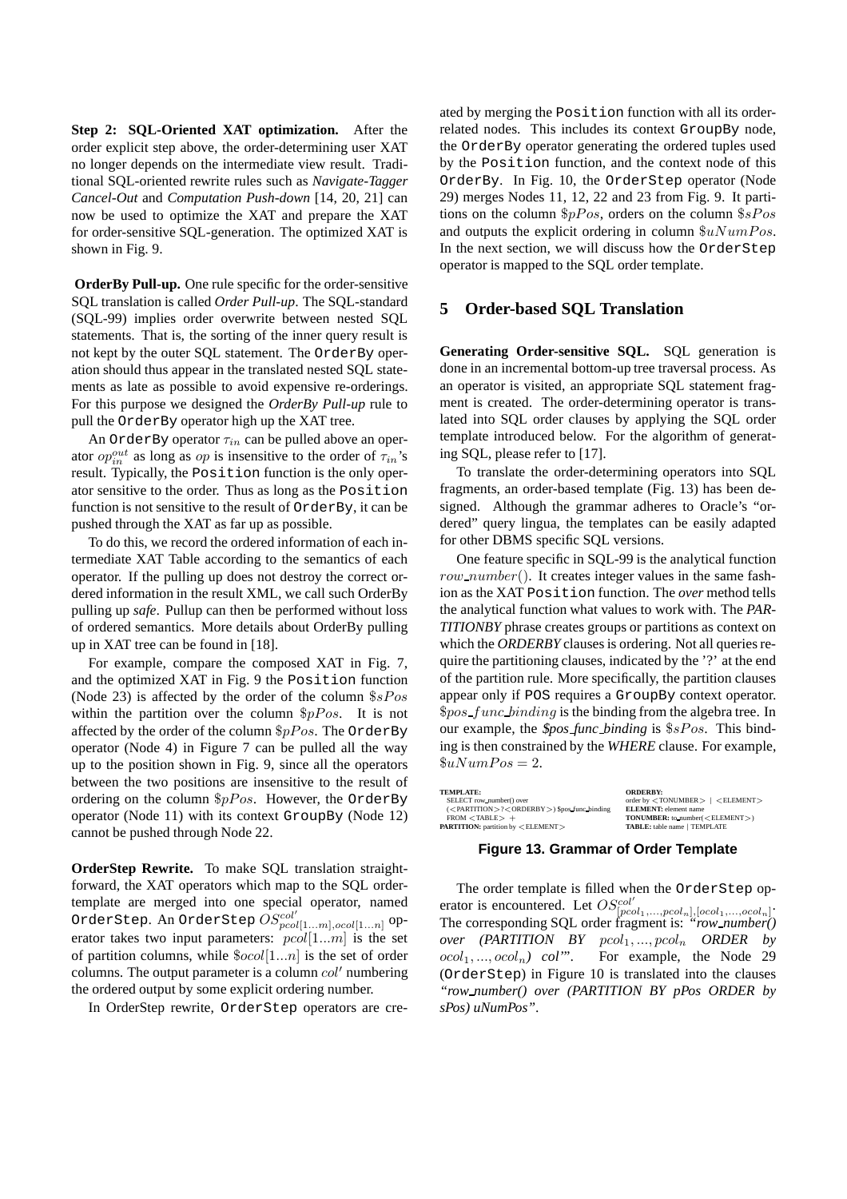**Step 2: SQL-Oriented XAT optimization.** After the order explicit step above, the order-determining user XAT no longer depends on the intermediate view result. Traditional SQL-oriented rewrite rules such as *Navigate-Tagger Cancel-Out* and *Computation Push-down* [14, 20, 21] can now be used to optimize the XAT and prepare the XAT for order-sensitive SQL-generation. The optimized XAT is shown in Fig. 9.

**OrderBy Pull-up.** One rule specific for the order-sensitive SQL translation is called *Order Pull-up*. The SQL-standard (SQL-99) implies order overwrite between nested SQL statements. That is, the sorting of the inner query result is not kept by the outer SQL statement. The OrderBy operation should thus appear in the translated nested SQL statements as late as possible to avoid expensive re-orderings. For this purpose we designed the *OrderBy Pull-up* rule to pull the OrderBy operator high up the XAT tree.

An OrderBy operator  $\tau_{in}$  can be pulled above an operator  $op_{in}^{out}$  as long as  $op$  is insensitive to the order of  $\tau_{in}$ 's result. Typically, the Position function is the only operator sensitive to the order. Thus as long as the Position function is not sensitive to the result of OrderBy, it can be pushed through the XAT as far up as possible.

To do this, we record the ordered information of each intermediate XAT Table according to the semantics of each operator. If the pulling up does not destroy the correct ordered information in the result XML, we call such OrderBy pulling up *safe*. Pullup can then be performed without loss of ordered semantics. More details about OrderBy pulling up in XAT tree can be found in [18].

For example, compare the composed XAT in Fig. 7, and the optimized XAT in Fig. 9 the Position function (Node 23) is affected by the order of the column  $$sPos$ within the partition over the column  $\wp Pos$ . It is not affected by the order of the column  $\frac{6}{9}P$  os. The OrderBy operator (Node 4) in Figure 7 can be pulled all the way up to the position shown in Fig. 9, since all the operators between the two positions are insensitive to the result of ordering on the column  $\frac{6}{9}Pos$ . However, the OrderBy operator (Node 11) with its context GroupBy (Node 12) cannot be pushed through Node 22.

**OrderStep Rewrite.** To make SQL translation straightforward, the XAT operators which map to the SQL ordertemplate are merged into one special operator, named OrderStep. An OrderStep  $\hat{OS}_{pcol[1...m],ocol[1...n]}^{col}$  operator takes two input parameters:  $pcol[1...m]$  is the set of partition columns, while  $$ocol[1...n]$  is the set of order columns. The output parameter is a column  $col'$  numbering the ordered output by some explicit ordering number.

In OrderStep rewrite, OrderStep operators are cre-

ated by merging the Position function with all its orderrelated nodes. This includes its context GroupBy node, the OrderBy operator generating the ordered tuples used by the Position function, and the context node of this OrderBy. In Fig. 10, the OrderStep operator (Node 29) merges Nodes 11, 12, 22 and 23 from Fig. 9. It partitions on the column  $\$\textit{pPos}$$ , orders on the column  $\$\textit{sPos}$$ and outputs the explicit ordering in column  $\frac{\text{E}}{w}NumPos$ . In the next section, we will discuss how the OrderStep operator is mapped to the SQL order template.

### **5 Order-based SQL Translation**

**Generating Order-sensitive SQL.** SQL generation is done in an incremental bottom-up tree traversal process. As an operator is visited, an appropriate SQL statement fragment is created. The order-determining operator is translated into SQL order clauses by applying the SQL order template introduced below. For the algorithm of generating SQL, please refer to [17].

To translate the order-determining operators into SQL fragments, an order-based template (Fig. 13) has been designed. Although the grammar adheres to Oracle's "ordered" query lingua, the templates can be easily adapted for other DBMS specific SQL versions.

One feature specific in SQL-99 is the analytical function  $row_number()$ . It creates integer values in the same fashion as the XAT Position function. The *over* method tells the analytical function what values to work with. The *PAR-TITIONBY* phrase creates groups or partitions as context on which the *ORDERBY* clauses is ordering. Not all queries require the partitioning clauses, indicated by the '?' at the end of the partition rule. More specifically, the partition clauses appear only if POS requires a GroupBy context operator.  $$pos\_func\_binding$  is the binding from the algebra tree. In our example, the *\$pos\_func\_binding* is \$sPos. This binding is then constrained by the *WHERE* clause. For example,  $\frac{\text{S}uNumPos}{\text{S}uNumPos}$ 

| <b>ORDERBY:</b>                             |
|---------------------------------------------|
| order by $<$ TONUMBER $>$   $<$ ELEMENT $>$ |
| <b>ELEMENT:</b> element name                |
| TONUMBER: to number( <element>)</element>   |
| TABLE: table name   TEMPLATE                |
|                                             |

#### **Figure 13. Grammar of Order Template**

The order template is filled when the OrderStep operator is encountered. Let  $OS_{[pcol_1,...,pcol_n],[ocol_1,...,ocol_n]}^{col'}$ . The corresponding SQL order fragment is: *"row number() over (PARTITION BY pcol<sub>1</sub>, ..., pcol<sub>n</sub> <i>ORDER by*  $ocol_{1}$ , ...,  $ocol_{n}$  *col*<sub>1</sub>, ...,  $ocol_{n}$  *col*<sup>m</sup>. For example, the Node 29 For example, the Node 29 (OrderStep) in Figure 10 is translated into the clauses *"row number() over (PARTITION BY pPos ORDER by sPos) uNumPos"*.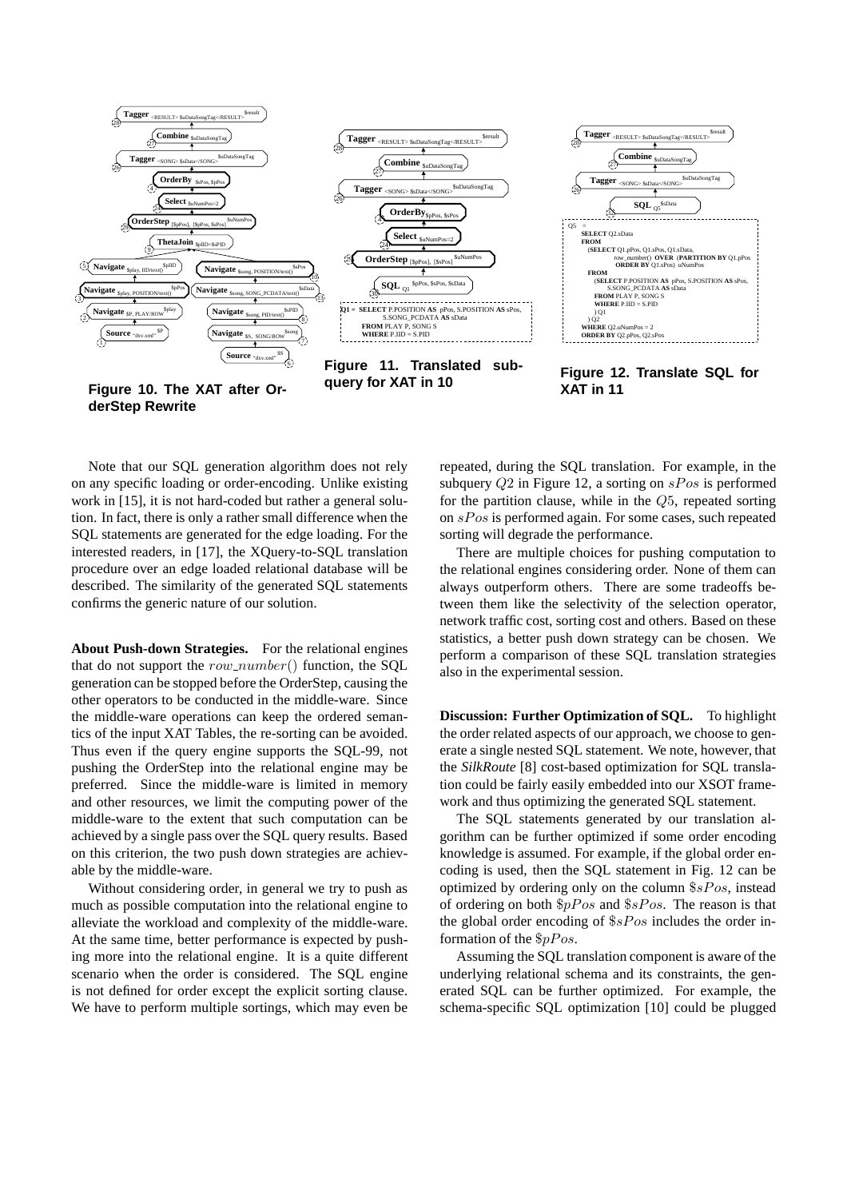

**Figure 10. The XAT after OrderStep Rewrite**

**Figure 11. Translated subquery for XAT in 10**

**Figure 12. Translate SQL for XAT in 11**

Note that our SQL generation algorithm does not rely on any specific loading or order-encoding. Unlike existing work in [15], it is not hard-coded but rather a general solution. In fact, there is only a rather small difference when the SQL statements are generated for the edge loading. For the interested readers, in [17], the XQuery-to-SQL translation procedure over an edge loaded relational database will be described. The similarity of the generated SQL statements confirms the generic nature of our solution.

**About Push-down Strategies.** For the relational engines that do not support the row number() function, the SQL generation can be stopped before the OrderStep, causing the other operators to be conducted in the middle-ware. Since the middle-ware operations can keep the ordered semantics of the input XAT Tables, the re-sorting can be avoided. Thus even if the query engine supports the SQL-99, not pushing the OrderStep into the relational engine may be preferred. Since the middle-ware is limited in memory and other resources, we limit the computing power of the middle-ware to the extent that such computation can be achieved by a single pass over the SQL query results. Based on this criterion, the two push down strategies are achievable by the middle-ware.

Without considering order, in general we try to push as much as possible computation into the relational engine to alleviate the workload and complexity of the middle-ware. At the same time, better performance is expected by pushing more into the relational engine. It is a quite different scenario when the order is considered. The SQL engine is not defined for order except the explicit sorting clause. We have to perform multiple sortings, which may even be repeated, during the SQL translation. For example, in the subquery  $Q2$  in Figure 12, a sorting on  $sPos$  is performed for the partition clause, while in the  $Q5$ , repeated sorting on  $sPos$  is performed again. For some cases, such repeated sorting will degrade the performance.

There are multiple choices for pushing computation to the relational engines considering order. None of them can always outperform others. There are some tradeoffs between them like the selectivity of the selection operator, network traffic cost, sorting cost and others. Based on these statistics, a better push down strategy can be chosen. We perform a comparison of these SQL translation strategies also in the experimental session.

**Discussion: Further Optimization of SQL.** To highlight the order related aspects of our approach, we choose to generate a single nested SQL statement. We note, however, that the *SilkRoute* [8] cost-based optimization for SQL translation could be fairly easily embedded into our XSOT framework and thus optimizing the generated SQL statement.

The SQL statements generated by our translation algorithm can be further optimized if some order encoding knowledge is assumed. For example, if the global order encoding is used, then the SQL statement in Fig. 12 can be optimized by ordering only on the column  $$sPos$ , instead of ordering on both  $\frac{6}{9}P$  os and  $\frac{6}{9}S$ . The reason is that the global order encoding of  $$sPos$  includes the order information of the  $\$pPos$ .

Assuming the SQL translation component is aware of the underlying relational schema and its constraints, the generated SQL can be further optimized. For example, the schema-specific SQL optimization [10] could be plugged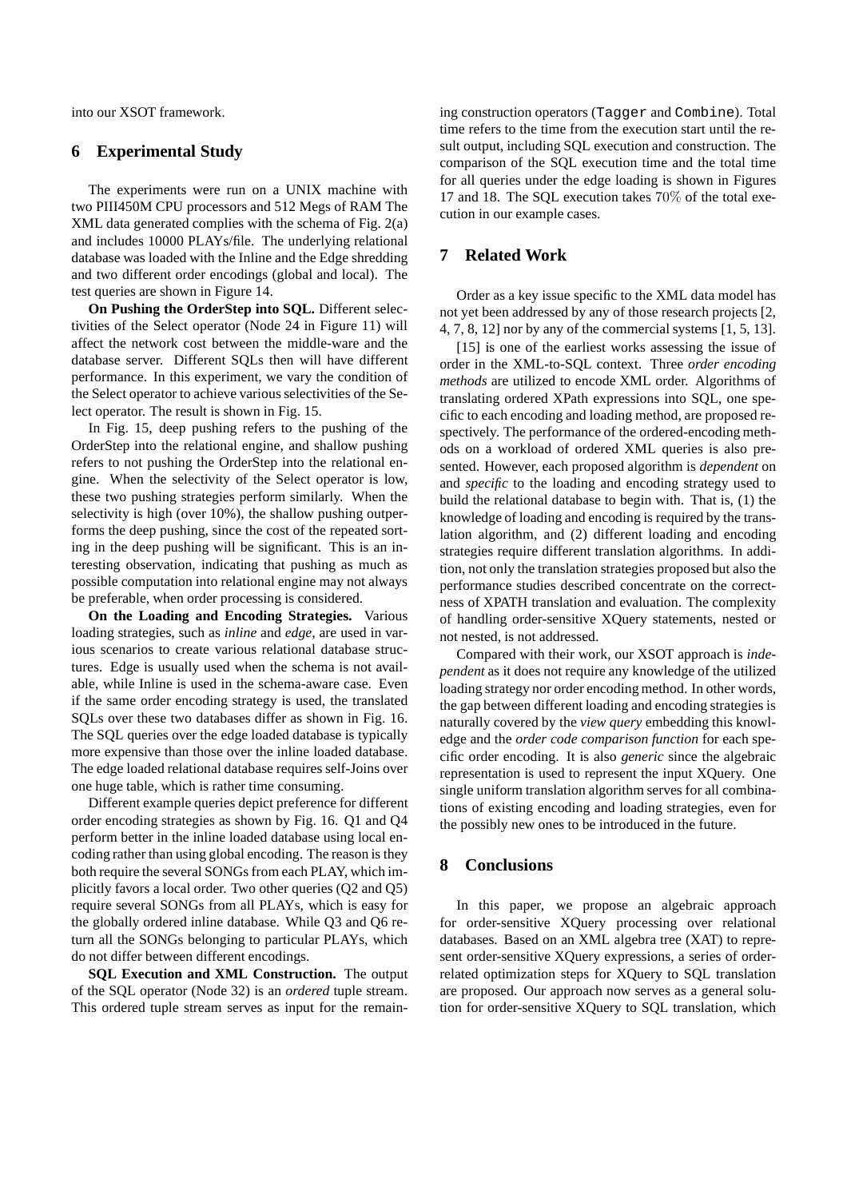into our XSOT framework.

### **6 Experimental Study**

The experiments were run on a UNIX machine with two PIII450M CPU processors and 512 Megs of RAM The XML data generated complies with the schema of Fig. 2(a) and includes 10000 PLAYs/file. The underlying relational database was loaded with the Inline and the Edge shredding and two different order encodings (global and local). The test queries are shown in Figure 14.

**On Pushing the OrderStep into SQL.** Different selectivities of the Select operator (Node 24 in Figure 11) will affect the network cost between the middle-ware and the database server. Different SQLs then will have different performance. In this experiment, we vary the condition of the Select operator to achieve various selectivities of the Select operator. The result is shown in Fig. 15.

In Fig. 15, deep pushing refers to the pushing of the OrderStep into the relational engine, and shallow pushing refers to not pushing the OrderStep into the relational engine. When the selectivity of the Select operator is low, these two pushing strategies perform similarly. When the selectivity is high (over 10%), the shallow pushing outperforms the deep pushing, since the cost of the repeated sorting in the deep pushing will be significant. This is an interesting observation, indicating that pushing as much as possible computation into relational engine may not always be preferable, when order processing is considered.

**On the Loading and Encoding Strategies.** Various loading strategies, such as *inline* and *edge*, are used in various scenarios to create various relational database structures. Edge is usually used when the schema is not available, while Inline is used in the schema-aware case. Even if the same order encoding strategy is used, the translated SQLs over these two databases differ as shown in Fig. 16. The SQL queries over the edge loaded database is typically more expensive than those over the inline loaded database. The edge loaded relational database requires self-Joins over one huge table, which is rather time consuming.

Different example queries depict preference for different order encoding strategies as shown by Fig. 16. Q1 and Q4 perform better in the inline loaded database using local encoding rather than using global encoding. The reason is they both require the several SONGs from each PLAY, which implicitly favors a local order. Two other queries (Q2 and Q5) require several SONGs from all PLAYs, which is easy for the globally ordered inline database. While Q3 and Q6 return all the SONGs belonging to particular PLAYs, which do not differ between different encodings.

**SQL Execution and XML Construction.** The output of the SQL operator (Node 32) is an *ordered* tuple stream. This ordered tuple stream serves as input for the remaining construction operators (Tagger and Combine). Total time refers to the time from the execution start until the result output, including SQL execution and construction. The comparison of the SQL execution time and the total time for all queries under the edge loading is shown in Figures 17 and 18. The SQL execution takes 70% of the total execution in our example cases.

### **7 Related Work**

Order as a key issue specific to the XML data model has not yet been addressed by any of those research projects [2, 4, 7, 8, 12] nor by any of the commercial systems [1, 5, 13].

[15] is one of the earliest works assessing the issue of order in the XML-to-SQL context. Three *order encoding methods* are utilized to encode XML order. Algorithms of translating ordered XPath expressions into SQL, one specific to each encoding and loading method, are proposed respectively. The performance of the ordered-encoding methods on a workload of ordered XML queries is also presented. However, each proposed algorithm is *dependent* on and *specific* to the loading and encoding strategy used to build the relational database to begin with. That is, (1) the knowledge of loading and encoding is required by the translation algorithm, and (2) different loading and encoding strategies require different translation algorithms. In addition, not only the translation strategies proposed but also the performance studies described concentrate on the correctness of XPATH translation and evaluation. The complexity of handling order-sensitive XQuery statements, nested or not nested, is not addressed.

Compared with their work, our XSOT approach is *independent* as it does not require any knowledge of the utilized loading strategy nor order encoding method. In other words, the gap between different loading and encoding strategies is naturally covered by the *view query* embedding this knowledge and the *order code comparison function* for each specific order encoding. It is also *generic* since the algebraic representation is used to represent the input XQuery. One single uniform translation algorithm serves for all combinations of existing encoding and loading strategies, even for the possibly new ones to be introduced in the future.

## **8 Conclusions**

In this paper, we propose an algebraic approach for order-sensitive XQuery processing over relational databases. Based on an XML algebra tree (XAT) to represent order-sensitive XQuery expressions, a series of orderrelated optimization steps for XQuery to SQL translation are proposed. Our approach now serves as a general solution for order-sensitive XQuery to SQL translation, which